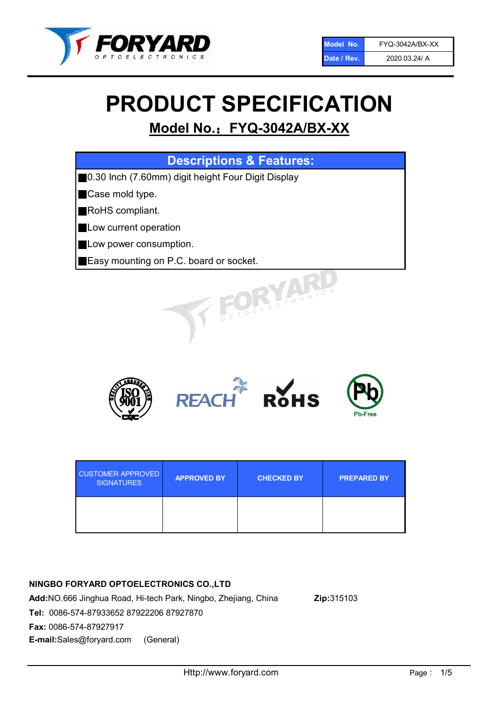

# PRODUCT SPECIFICATION

# Model No.: FYQ-3042A/BX-XX

| <b>Descriptions &amp; Features:</b>                |
|----------------------------------------------------|
| 0.30 Inch (7.60mm) digit height Four Digit Display |
| Case mold type.                                    |
| RoHS compliant.                                    |
| Low current operation                              |
| Low power consumption.                             |
| Easy mounting on P.C. board or socket.             |
| TO ELECTRONIC                                      |



| <b>CUSTOMER APPROVED</b><br><b>SIGNATURES</b> | <b>APPROVED BY</b> | <b>CHECKED BY</b> | <b>PREPARED BY</b> |
|-----------------------------------------------|--------------------|-------------------|--------------------|
|                                               |                    |                   |                    |

# NINGBO FORYARD OPTOELECTRONICS CO.,LTD

Add:NO.666 Jinghua Road, Hi-tech Park, Ningbo, Zhejiang, China Zip:315103 Tel: 0086-574-87933652 87922206 87927870 Fax: 0086-574-87927917 E-mail:Sales@foryard.com (General)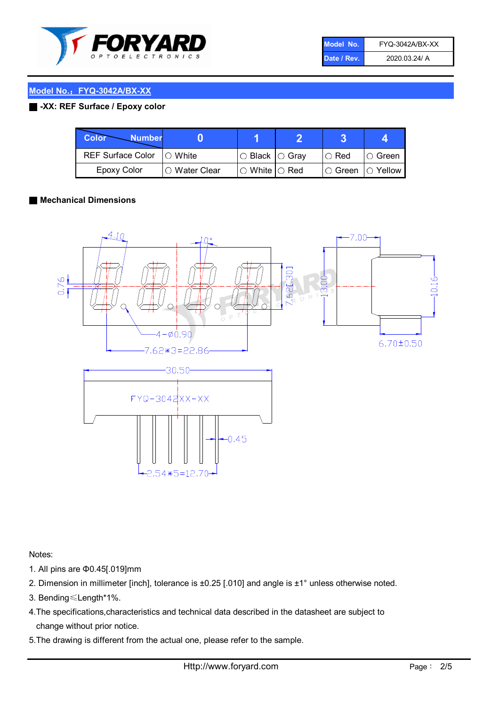

| Model No.   | FYQ-3042A/BX-XX |
|-------------|-----------------|
| Date / Rev. | 2020.03.24/ A   |

### Model No.: FYQ-3042A/BX-XX

#### ■ -XX: REF Surface / Epoxy color

| Color<br><b>Number</b>      |                |                                                   |             |                |
|-----------------------------|----------------|---------------------------------------------------|-------------|----------------|
| REF Surface Color   O White |                | ○ Black  ○ Gray                                   | $\circ$ Red | $\circ$ Green  |
| Epoxy Color                 | I⊖ Water Clear | $\mathbin{\varcap}$ White $\mathbin{\varcap}$ Red | IO Green∶   | $\circ$ Yellow |

#### ■ Mechanical Dimensions



Notes:

- 1. All pins are Φ0.45[.019]mm
- 2. Dimension in millimeter [inch], tolerance is ±0.25 [.010] and angle is ±1° unless otherwise noted.
- 3. Bending≤Length\*1%.
- 4.The specifications,characteristics and technical data described in the datasheet are subject to change without prior notice.
- 5.The drawing is different from the actual one, please refer to the sample.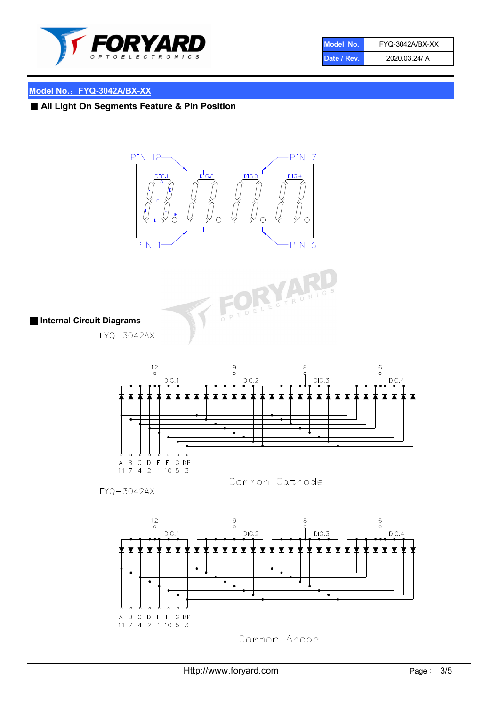

| Model No.   | FYQ-3042A/BX-XX |
|-------------|-----------------|
| Date / Rev. | 2020.03.24/ A   |

# Model No.: FYQ-3042A/BX-XX

■ All Light On Segments Feature & Pin Position





■ Internal Circuit Diagrams

 $FYQ - 3042AX$ 





FYQ-3042AX

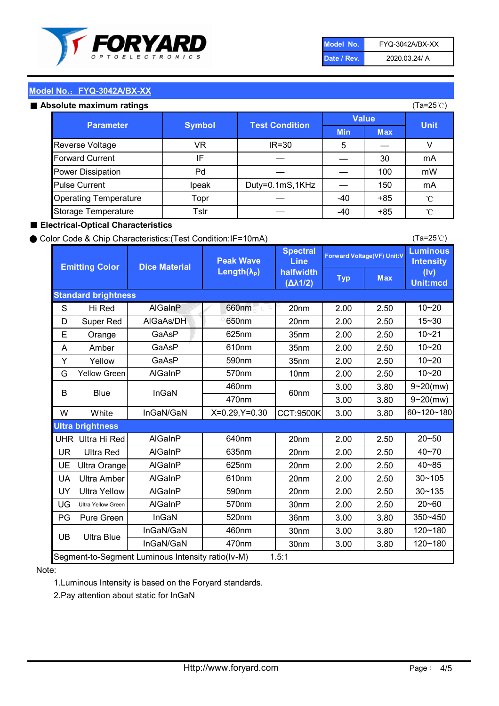

| Model No.   | FYQ-3042A/BX-XX |
|-------------|-----------------|
| Date / Rev. | 2020.03.24/ A   |

(Ta=25℃)

### Model No.: FYQ-3042A/BX-XX

#### Absolute maximum

| solute maximum ratings       |               |                       |              |            | (Ta=25℃)    |
|------------------------------|---------------|-----------------------|--------------|------------|-------------|
| <b>Parameter</b>             | <b>Symbol</b> | <b>Test Condition</b> | <b>Value</b> |            |             |
|                              |               |                       | <b>Min</b>   | <b>Max</b> | <b>Unit</b> |
| Reverse Voltage              | VR            | $IR = 30$             | 5            |            |             |
| <b>Forward Current</b>       | IF            |                       |              | 30         | mA          |
| Power Dissipation            | Pd            |                       |              | 100        | mW          |
| <b>Pulse Current</b>         | Ipeak         | Duty=0.1mS,1KHz       |              | 150        | mA          |
| <b>Operating Temperature</b> | Topr          |                       | $-40$        | $+85$      | °C          |
| Storage Temperature          | Tstr          |                       | -40          | $+85$      | °C          |

#### ■ Electrical-Optical Characteristics

#### ● Color Code & Chip Characteristics:(Test Condition:IF=10mA)

Typ Max S | Hi $\textsf{Red}$  | AlGaInP | 660nm LE 20nm | 2.00 | 2.50 D | Super Red | AIGaAs/DH | 650nm | 20nm | 2.00 | 2.50 E | Orange | GaAsP | 625nm | 35nm | 2.00 | 2.50 A | Amber | GaAsP | 610nm | 35nm | 2.00 | 2.50 Y | Yellow | GaAsP | 590nm | 35nm | 2.00 | 2.50 G Yellow Green AIGaInP | 570nm | 10nm | 2.00 | 2.50 3.00 3.80 3.00 3.80 W | White | InGaN/GaN | X=0.29,Y=0.30 |CCT:9500K| 3.00 | 3.80 UHR Ultra Hi Red  $\vert$  AIGaInP  $\vert$  640nm  $\vert$  20nm  $\vert$  2.00  $\vert$  2.50 UR | Ultra Red | AlGaInP | 635nm | 20nm | 2.00 | 2.50 UE Ultra Orange | AIGaInP | 625nm | 20nm | 2.00 | 2.50 UA Ultra Amber | AIGaInP | 610nm | 20nm | 2.00 | 2.50  $UV$  Ultra Yellow  $\vert$  AlGaInP  $\vert$  590nm  $\vert$  20nm  $\vert$  2.00  $\vert$  2.50  $\text{UG}$  Ultra Yellow Green | AIGaInP | 570nm | 30nm | 2.00 | 2.50 PG | Pure Green | InGaN | 520nm | 36nm | 3.00 | 3.80 30nm 3.00 3.80 30nm 3.00 3.80 10~20 Standard brightness Forward Voltage(VF) Unit:V 15~30 10~20 10~20 625nm GaAsP 590nm **Emitting Color Dice Material** 10~21 610nm Luminous **Intensity** (Iv) Unit:mcd AlGainP 660nm GaAsP GaAsP AlGaAs/DH **Spectral** Line halfwidth (∆λ1/2) Peak Wave Length $(\lambda_{\rm P})$ UB 460nm 635nm AlGaInP AlGaInP AlGaInP InGaN/GaN AlGaInP | 570nm | 10nm | 2.00 | 2.50 | 10~20 30~105 30~135 460nm 520nm Ultra brightness **AlGaInP** AlGaInP 60nm AlGaInP 640nm Segment-to-Segment Luminous Intensity ratio(Iv-M) 1.5:1 610nm 9~20(mw) 350~450 470nm 120~180 120~180 Ultra Blue InGaN/GaN 9~20(mw) 20~50 570nm | 30nm | 2.00 | 2.50 | 20~60 470nm 590nm InGaN/GaN B Blue I InGaN 40~85 60~120~180 40~70

#### Note:

1.Luminous Intensity is based on the Foryard standards.

2.Pay attention about static for InGaN